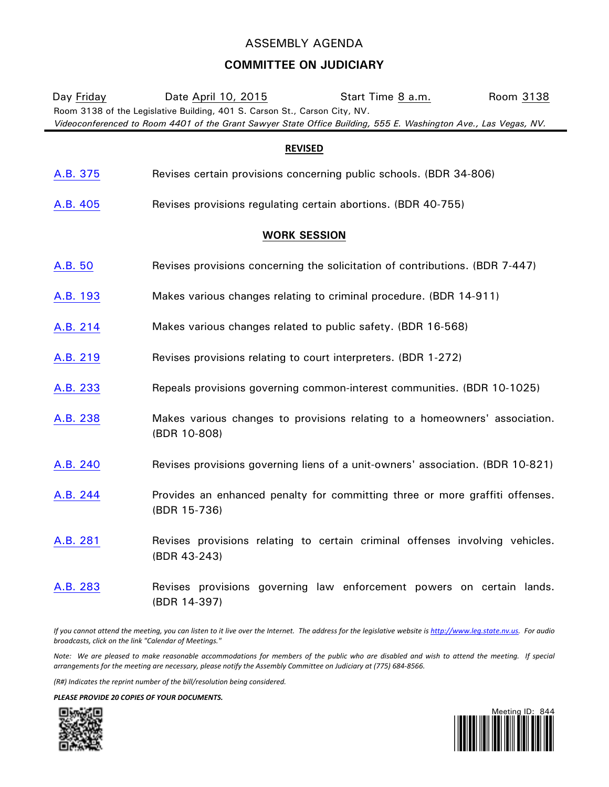## ASSEMBLY AGENDA

## **COMMITTEE ON JUDICIARY**

| Day Friday                                                                                                                                                                                    | Date April 10, 2015                                                                          | Start Time 8 a.m. | Room 3138 |
|-----------------------------------------------------------------------------------------------------------------------------------------------------------------------------------------------|----------------------------------------------------------------------------------------------|-------------------|-----------|
| Room 3138 of the Legislative Building, 401 S. Carson St., Carson City, NV.<br>Videoconferenced to Room 4401 of the Grant Sawyer State Office Building, 555 E. Washington Ave., Las Vegas, NV. |                                                                                              |                   |           |
| <b>REVISED</b>                                                                                                                                                                                |                                                                                              |                   |           |
|                                                                                                                                                                                               |                                                                                              |                   |           |
| A.B. 375                                                                                                                                                                                      | Revises certain provisions concerning public schools. (BDR 34-806)                           |                   |           |
| A.B. 405                                                                                                                                                                                      | Revises provisions regulating certain abortions. (BDR 40-755)                                |                   |           |
| <b>WORK SESSION</b>                                                                                                                                                                           |                                                                                              |                   |           |
| A.B. 50                                                                                                                                                                                       | Revises provisions concerning the solicitation of contributions. (BDR 7-447)                 |                   |           |
| A.B. 193                                                                                                                                                                                      | Makes various changes relating to criminal procedure. (BDR 14-911)                           |                   |           |
| A.B. 214                                                                                                                                                                                      | Makes various changes related to public safety. (BDR 16-568)                                 |                   |           |
| A.B. 219                                                                                                                                                                                      | Revises provisions relating to court interpreters. (BDR 1-272)                               |                   |           |
| A.B. 233                                                                                                                                                                                      | Repeals provisions governing common-interest communities. (BDR 10-1025)                      |                   |           |
| A.B. 238                                                                                                                                                                                      | Makes various changes to provisions relating to a homeowners' association.<br>(BDR 10-808)   |                   |           |
| A.B. 240                                                                                                                                                                                      | Revises provisions governing liens of a unit-owners' association. (BDR 10-821)               |                   |           |
| A.B. 244                                                                                                                                                                                      | Provides an enhanced penalty for committing three or more graffiti offenses.<br>(BDR 15-736) |                   |           |
| A.B. 281                                                                                                                                                                                      | Revises provisions relating to certain criminal offenses involving vehicles.<br>(BDR 43-243) |                   |           |
| A.B. 283                                                                                                                                                                                      | Revises provisions governing law enforcement powers on certain lands.<br>(BDR 14-397)        |                   |           |

*If you cannot attend the meeting, you can listen to it live over the Internet. The address for the legislative website i[s http://www.leg.state.nv.us.](http://www.leg.state.nv.us/) For audio broadcasts, click on the link "Calendar of Meetings."*

*Note: We are pleased to make reasonable accommodations for members of the public who are disabled and wish to attend the meeting. If special arrangements for the meeting are necessary, please notify the Assembly Committee on Judiciary at (775) 684-8566.*

*(R#) Indicates the reprint number of the bill/resolution being considered.*

*PLEASE PROVIDE 20 COPIES OF YOUR DOCUMENTS.*